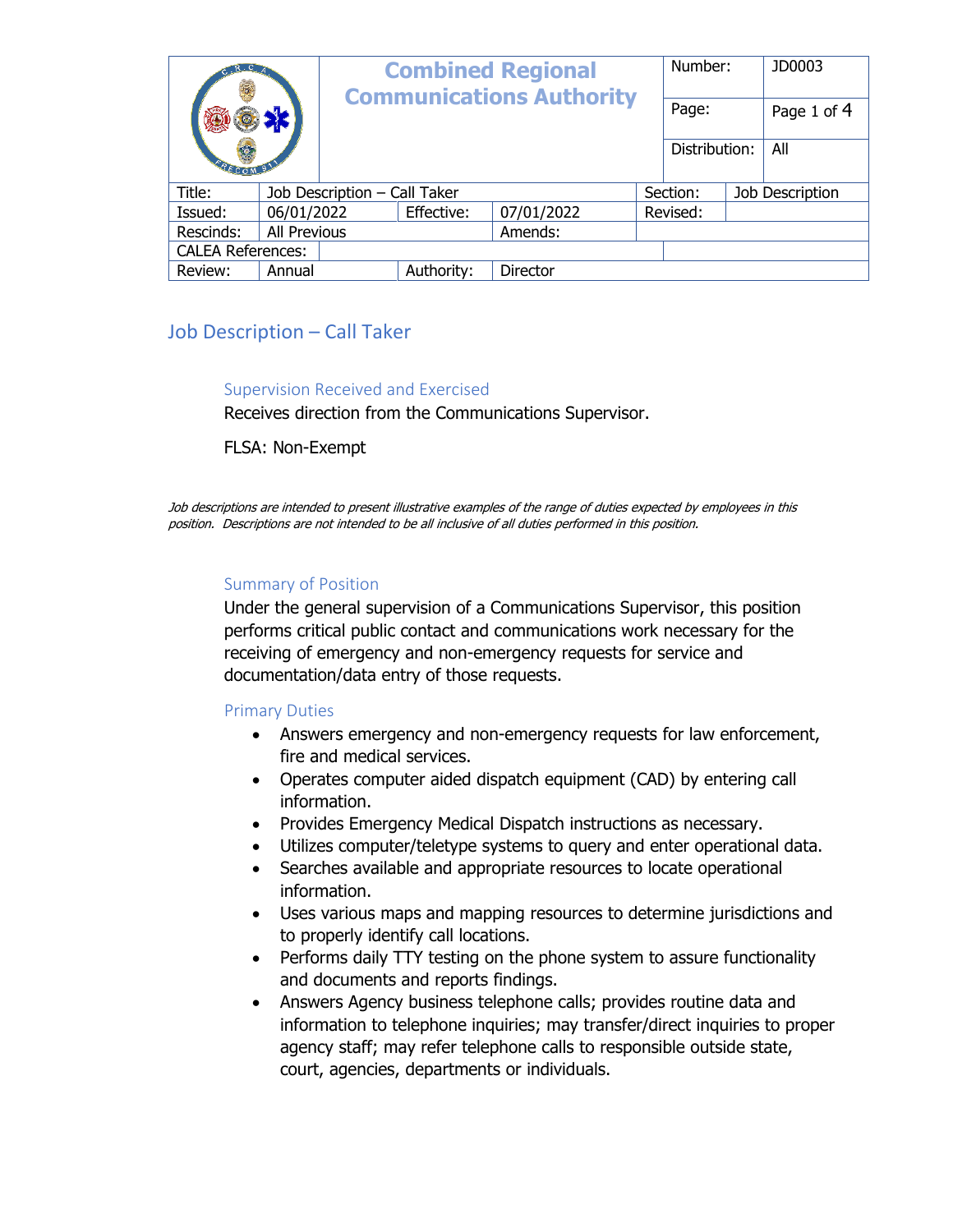|                          |                              | <b>Combined Regional</b><br><b>Communications Authority</b> |            |            |          | Number:       |                 | JD0003 |
|--------------------------|------------------------------|-------------------------------------------------------------|------------|------------|----------|---------------|-----------------|--------|
|                          |                              |                                                             |            |            | Page:    |               | Page 1 of 4     |        |
|                          |                              |                                                             |            |            |          | Distribution: |                 | All    |
| Title:                   | Job Description - Call Taker |                                                             |            |            | Section: |               | Job Description |        |
| Issued:                  | 06/01/2022                   | Effective:                                                  |            | 07/01/2022 | Revised: |               |                 |        |
| Rescinds:                | All Previous                 |                                                             |            | Amends:    |          |               |                 |        |
| <b>CALEA References:</b> |                              |                                                             |            |            |          |               |                 |        |
| Review:<br>Annual        |                              |                                                             | Authority: | Director   |          |               |                 |        |

# Job Description – Call Taker

### Supervision Received and Exercised

Receives direction from the Communications Supervisor.

FLSA: Non-Exempt

Job descriptions are intended to present illustrative examples of the range of duties expected by employees in this position. Descriptions are not intended to be all inclusive of all duties performed in this position.

### Summary of Position

Under the general supervision of a Communications Supervisor, this position performs critical public contact and communications work necessary for the receiving of emergency and non-emergency requests for service and documentation/data entry of those requests.

### Primary Duties

- Answers emergency and non-emergency requests for law enforcement, fire and medical services.
- Operates computer aided dispatch equipment (CAD) by entering call information.
- Provides Emergency Medical Dispatch instructions as necessary.
- Utilizes computer/teletype systems to query and enter operational data.
- Searches available and appropriate resources to locate operational information.
- Uses various maps and mapping resources to determine jurisdictions and to properly identify call locations.
- Performs daily TTY testing on the phone system to assure functionality and documents and reports findings.
- Answers Agency business telephone calls; provides routine data and information to telephone inquiries; may transfer/direct inquiries to proper agency staff; may refer telephone calls to responsible outside state, court, agencies, departments or individuals.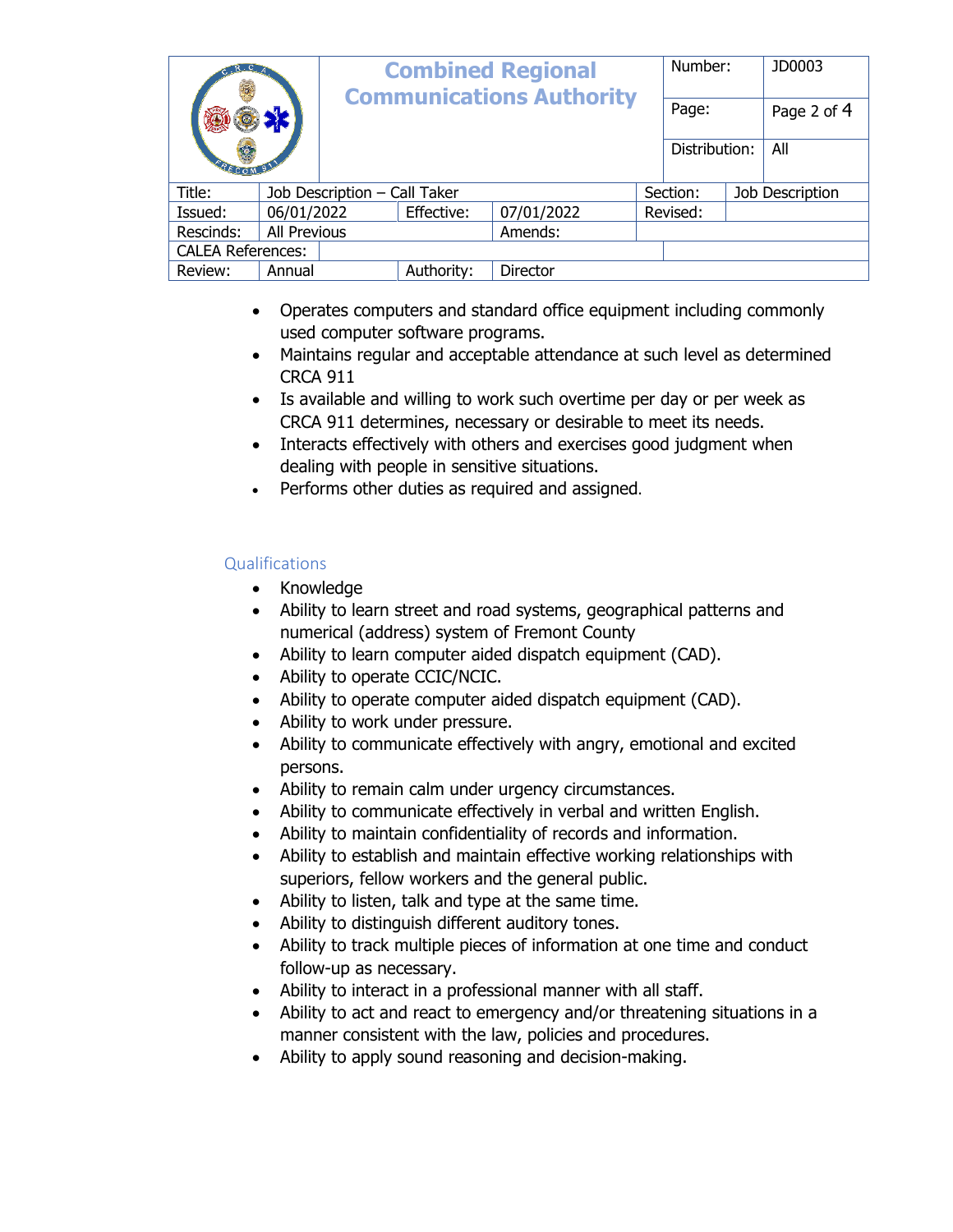|                          |                              | <b>Combined Regional</b><br><b>Communications Authority</b> |            |            |          | Number:       |                 | JD0003      |
|--------------------------|------------------------------|-------------------------------------------------------------|------------|------------|----------|---------------|-----------------|-------------|
|                          |                              |                                                             |            |            |          | Page:         |                 | Page 2 of 4 |
|                          |                              |                                                             |            |            |          | Distribution: |                 | All         |
| Title:                   | Job Description - Call Taker |                                                             |            |            | Section: |               | Job Description |             |
| Issued:                  | 06/01/2022                   |                                                             | Effective: | 07/01/2022 |          | Revised:      |                 |             |
| Rescinds:                | All Previous                 |                                                             |            | Amends:    |          |               |                 |             |
| <b>CALEA References:</b> |                              |                                                             |            |            |          |               |                 |             |
| Review:                  | Annual                       |                                                             | Authority: | Director   |          |               |                 |             |

- Operates computers and standard office equipment including commonly used computer software programs.
- Maintains regular and acceptable attendance at such level as determined CRCA 911
- Is available and willing to work such overtime per day or per week as CRCA 911 determines, necessary or desirable to meet its needs.
- Interacts effectively with others and exercises good judgment when dealing with people in sensitive situations.
- Performs other duties as required and assigned.

## Qualifications

- Knowledge
- Ability to learn street and road systems, geographical patterns and numerical (address) system of Fremont County
- Ability to learn computer aided dispatch equipment (CAD).
- Ability to operate CCIC/NCIC.
- Ability to operate computer aided dispatch equipment (CAD).
- Ability to work under pressure.
- Ability to communicate effectively with angry, emotional and excited persons.
- Ability to remain calm under urgency circumstances.
- Ability to communicate effectively in verbal and written English.
- Ability to maintain confidentiality of records and information.
- Ability to establish and maintain effective working relationships with superiors, fellow workers and the general public.
- Ability to listen, talk and type at the same time.
- Ability to distinguish different auditory tones.
- Ability to track multiple pieces of information at one time and conduct follow-up as necessary.
- Ability to interact in a professional manner with all staff.
- Ability to act and react to emergency and/or threatening situations in a manner consistent with the law, policies and procedures.
- Ability to apply sound reasoning and decision-making.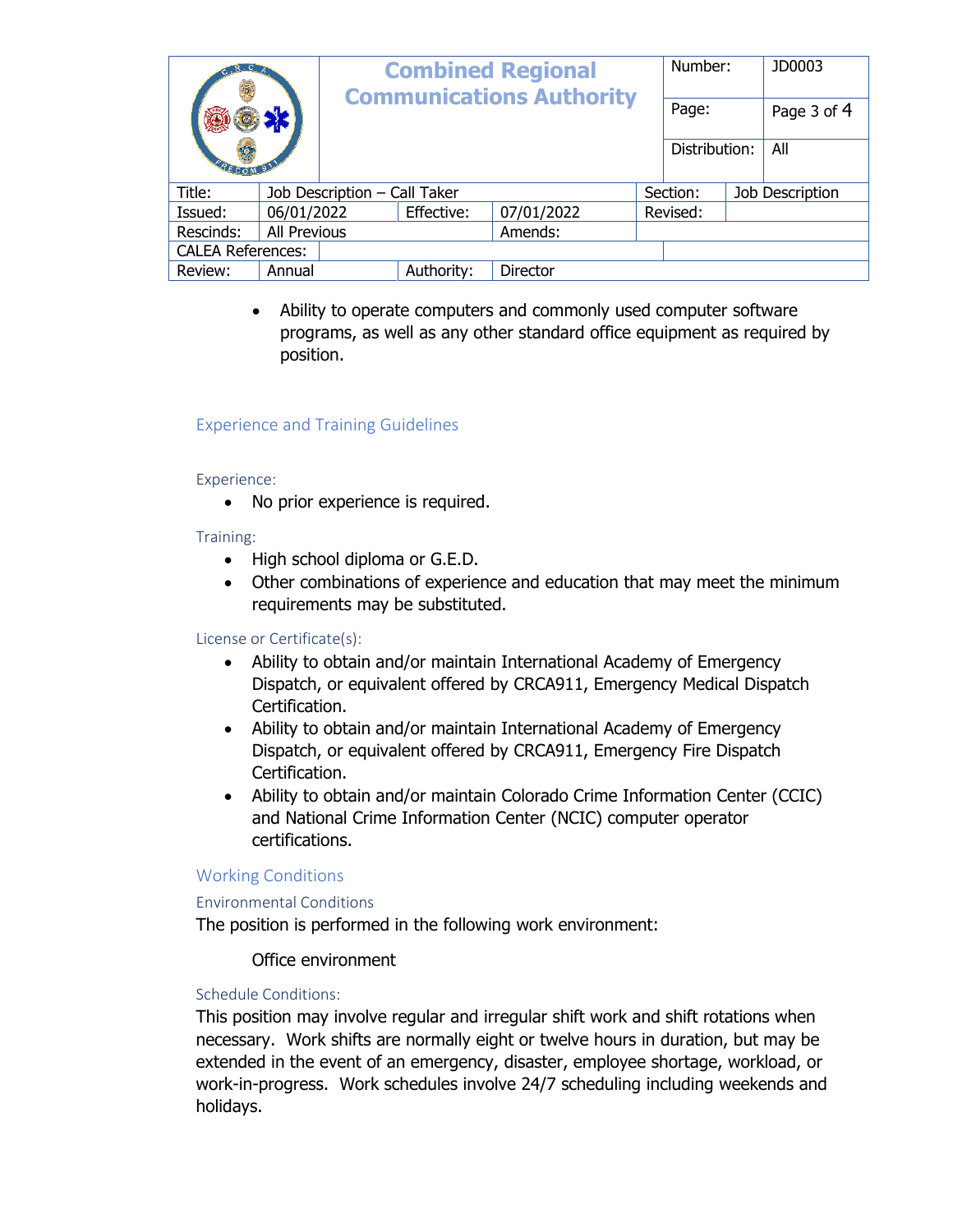|                          |                              |  | <b>Combined Regional</b><br><b>Communications Authority</b> |            |          | Number:<br>Page: |                 | JD0003      |
|--------------------------|------------------------------|--|-------------------------------------------------------------|------------|----------|------------------|-----------------|-------------|
|                          |                              |  |                                                             |            |          |                  |                 | Page 3 of 4 |
|                          |                              |  |                                                             |            |          | Distribution:    |                 | All         |
| Title:                   | Job Description - Call Taker |  |                                                             |            | Section: |                  | Job Description |             |
| Issued:                  | 06/01/2022                   |  | Effective:                                                  | 07/01/2022 |          | Revised:         |                 |             |
| Rescinds:                | All Previous                 |  | Amends:                                                     |            |          |                  |                 |             |
| <b>CALEA References:</b> |                              |  |                                                             |            |          |                  |                 |             |
| Review:<br>Annual        |                              |  | Authority:                                                  | Director   |          |                  |                 |             |

 Ability to operate computers and commonly used computer software programs, as well as any other standard office equipment as required by position.

### Experience and Training Guidelines

#### Experience:

• No prior experience is required.

### Training:

- High school diploma or G.E.D.
- Other combinations of experience and education that may meet the minimum requirements may be substituted.

### License or Certificate(s):

- Ability to obtain and/or maintain International Academy of Emergency Dispatch, or equivalent offered by CRCA911, Emergency Medical Dispatch Certification.
- Ability to obtain and/or maintain International Academy of Emergency Dispatch, or equivalent offered by CRCA911, Emergency Fire Dispatch Certification.
- Ability to obtain and/or maintain Colorado Crime Information Center (CCIC) and National Crime Information Center (NCIC) computer operator certifications.

### Working Conditions

### Environmental Conditions

The position is performed in the following work environment:

### Office environment

### Schedule Conditions:

This position may involve regular and irregular shift work and shift rotations when necessary. Work shifts are normally eight or twelve hours in duration, but may be extended in the event of an emergency, disaster, employee shortage, workload, or work-in-progress. Work schedules involve 24/7 scheduling including weekends and holidays.